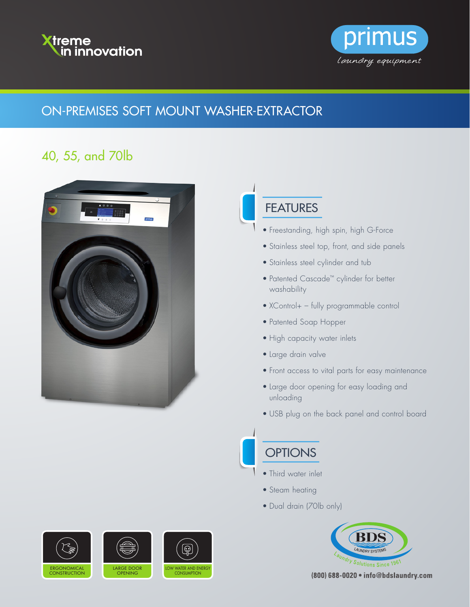



### ON-PREMISES SOFT MOUNT WASHER-EXTRACTOR

# 40, 55, and 70lb



### **FEATURES**

- Freestanding, high spin, high G-Force
- Stainless steel top, front, and side panels
- Stainless steel cylinder and tub
- Patented Cascade™ cylinder for better washability
- XControl+ fully programmable control
- Patented Soap Hopper
- High capacity water inlets
- Large drain valve
- Front access to vital parts for easy maintenance
- Large door opening for easy loading and unloading
- USB plug on the back panel and control board

## **OPTIONS**

- Third water inlet
- Steam heating
- Dual drain (70lb only)



(800) 688-0020 . info@bdslaundry.com